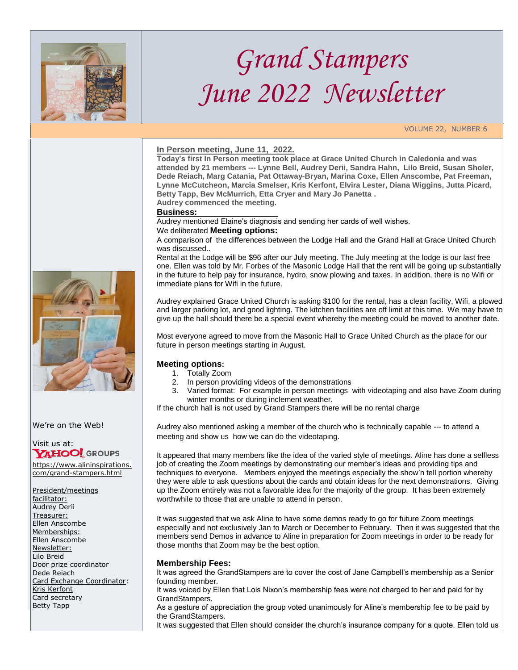

# *Grand Stampers June 2022 Newsletter*

VOLUME 22, NUMBER 6

# **In Person meeting, June 11, 2022.**

**Today's first In Person meeting took place at Grace United Church in Caledonia and was attended by 21 members --- Lynne Bell, Audrey Derii, Sandra Hahn, Lilo Breid, Susan Sholer, Dede Reiach, Marg Catania, Pat Ottaway-Bryan, Marina Coxe, Ellen Anscombe, Pat Freeman, Lynne McCutcheon, Marcia Smelser, Kris Kerfont, Elvira Lester, Diana Wiggins, Jutta Picard, Betty Tapp, Bev McMurrich, Etta Cryer and Mary Jo Panetta .**

**Audrey commenced the meeting.**

## **Business:**

Audrey mentioned Elaine's diagnosis and sending her cards of well wishes. We deliberated **Meeting options:**

A comparison of the differences between the Lodge Hall and the Grand Hall at Grace United Church was discussed..

Rental at the Lodge will be \$96 after our July meeting. The July meeting at the lodge is our last free one. Ellen was told by Mr. Forbes of the Masonic Lodge Hall that the rent will be going up substantially in the future to help pay for insurance, hydro, snow plowing and taxes. In addition, there is no Wifi or immediate plans for Wifi in the future.

Audrey explained Grace United Church is asking \$100 for the rental, has a clean facility, Wifi, a plowed and larger parking lot, and good lighting. The kitchen facilities are off limit at this time. We may have to give up the hall should there be a special event whereby the meeting could be moved to another date.

Most everyone agreed to move from the Masonic Hall to Grace United Church as the place for our future in person meetings starting in August.

# **Meeting options:**

- 1. Totally Zoom
- 2. In person providing videos of the demonstrations
- 3. Varied format: For example in person meetings with videotaping and also have Zoom during winter months or during inclement weather.

If the church hall is not used by Grand Stampers there will be no rental charge

Audrey also mentioned asking a member of the church who is technically capable --- to attend a meeting and show us how we can do the videotaping.

It appeared that many members like the idea of the varied style of meetings. Aline has done a selfless job of creating the Zoom meetings by demonstrating our member's ideas and providing tips and techniques to everyone. Members enjoyed the meetings especially the show'n tell portion whereby they were able to ask questions about the cards and obtain ideas for the next demonstrations. Giving up the Zoom entirely was not a favorable idea for the majority of the group. It has been extremely worthwhile to those that are unable to attend in person.

It was suggested that we ask Aline to have some demos ready to go for future Zoom meetings especially and not exclusively Jan to March or December to February. Then it was suggested that the members send Demos in advance to Aline in preparation for Zoom meetings in order to be ready for those months that Zoom may be the best option.

#### **Membership Fees:**

It was agreed the GrandStampers are to cover the cost of Jane Campbell's membership as a Senior founding member.

It was voiced by Ellen that Lois Nixon's membership fees were not charged to her and paid for by GrandStampers.

As a gesture of appreciation the group voted unanimously for Aline's membership fee to be paid by the GrandStampers.

It was suggested that Ellen should consider the church's insurance company for a quote. Ellen told us



We're on the Web!

Visit us at:<br>**YAHOO!** GROUPS

[https://www.alininspirations.](https://www.alininspirations.com/grand-stampers.html) [com/grand-stampers.html](https://www.alininspirations.com/grand-stampers.html)

President/meetings facilitator: Audrey Derii Treasurer: Ellen Anscombe Memberships: Ellen Anscombe Newsletter: Lilo Breid Door prize coordinator Dede Reiach Card Exchange Coordinator: Kris Kerfont Card secretary Betty Tapp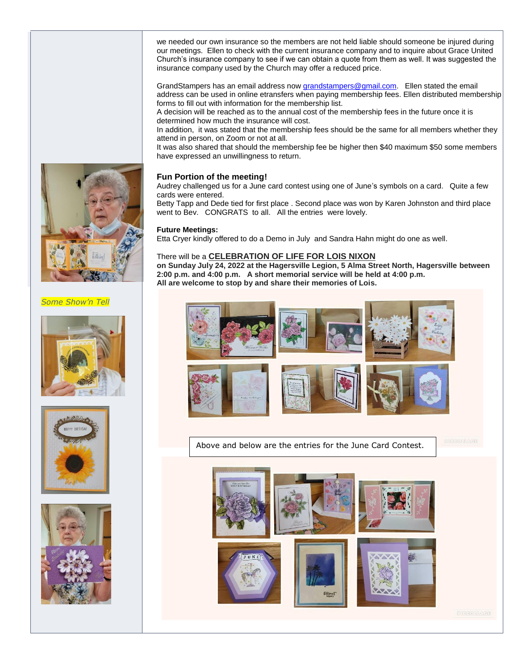we needed our own insurance so the members are not held liable should someone be injured during our meetings. Ellen to check with the current insurance company and to inquire about Grace United Church's insurance company to see if we can obtain a quote from them as well. It was suggested the insurance company used by the Church may offer a reduced price.

GrandStampers has an email address now *grandstampers@gmail.com*. Ellen stated the email address can be used in online etransfers when paying membership fees. Ellen distributed membership forms to fill out with information for the membership list.

A decision will be reached as to the annual cost of the membership fees in the future once it is determined how much the insurance will cost.

In addition, it was stated that the membership fees should be the same for all members whether they attend in person, on Zoom or not at all.

It was also shared that should the membership fee be higher then \$40 maximum \$50 some members have expressed an unwillingness to return.

# **Fun Portion of the meeting!**

Audrey challenged us for a June card contest using one of June's symbols on a card. Quite a few cards were entered.

Betty Tapp and Dede tied for first place . Second place was won by Karen Johnston and third place went to Bev. CONGRATS to all. All the entries were lovely.

## **Future Meetings:**

Etta Cryer kindly offered to do a Demo in July and Sandra Hahn might do one as well.

# There will be a **CELEBRATION OF LIFE FOR LOIS NIXON**

**on Sunday July 24, 2022 at the Hagersville Legion, 5 Alma Street North, Hagersville between 2:00 p.m. and 4:00 p.m. A short memorial service will be held at 4:00 p.m. All are welcome to stop by and share their memories of Lois.** 



Above and below are the entries for the June Card Contest.





*Some Show'n Tell*